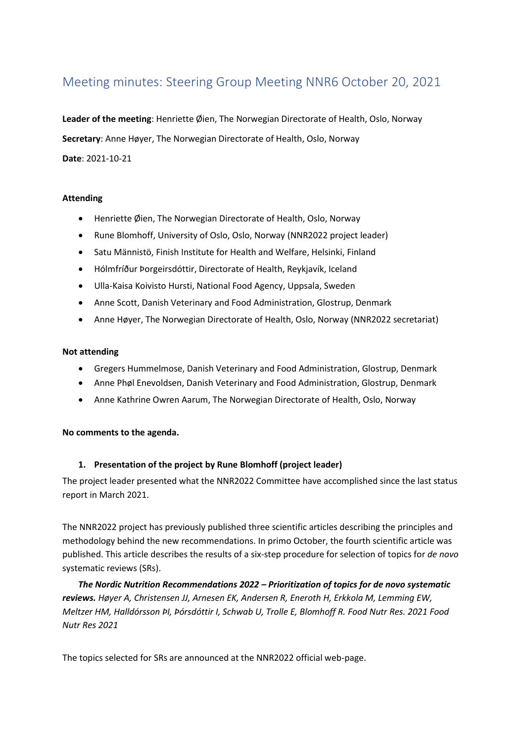# Meeting minutes: Steering Group Meeting NNR6 October 20, 2021

**Leader of the meeting**: Henriette Øien, The Norwegian Directorate of Health, Oslo, Norway **Secretary**: Anne Høyer, The Norwegian Directorate of Health, Oslo, Norway **Date**: 2021-10-21

### **Attending**

- Henriette Øien, The Norwegian Directorate of Health, Oslo, Norway
- Rune Blomhoff, University of Oslo, Oslo, Norway (NNR2022 project leader)
- Satu Männistö, Finish Institute for Health and Welfare, Helsinki, Finland
- Hólmfríður Þorgeirsdóttir, Directorate of Health, Reykjavík, Iceland
- Ulla-Kaisa Koivisto Hursti, National Food Agency, Uppsala, Sweden
- Anne Scott, Danish Veterinary and Food Administration, Glostrup, Denmark
- Anne Høyer, The Norwegian Directorate of Health, Oslo, Norway (NNR2022 secretariat)

#### **Not attending**

- Gregers Hummelmose, Danish Veterinary and Food Administration, Glostrup, Denmark
- Anne Phøl Enevoldsen, Danish Veterinary and Food Administration, Glostrup, Denmark
- Anne Kathrine Owren Aarum, The Norwegian Directorate of Health, Oslo, Norway

#### **No comments to the agenda.**

#### **1. Presentation of the project by Rune Blomhoff (project leader)**

The project leader presented what the NNR2022 Committee have accomplished since the last status report in March 2021.

The NNR2022 project has previously published three scientific articles describing the principles and methodology behind the new recommendations. In primo October, the fourth scientific article was published. This article describes the results of a six-step procedure for selection of topics for *de novo*  systematic reviews (SRs).

*The Nordic Nutrition Recommendations 2022 – Prioritization of topics for de novo systematic reviews. Høyer A, Christensen JJ, Arnesen EK, Andersen R, Eneroth H, Erkkola M, Lemming EW, Meltzer HM, Halldórsson ÞI, Þórsdóttir I, Schwab U, Trolle E, Blomhoff R. Food Nutr Res. 2021 Food Nutr Res 2021*

The topics selected for SRs are announced at the NNR2022 official web-page.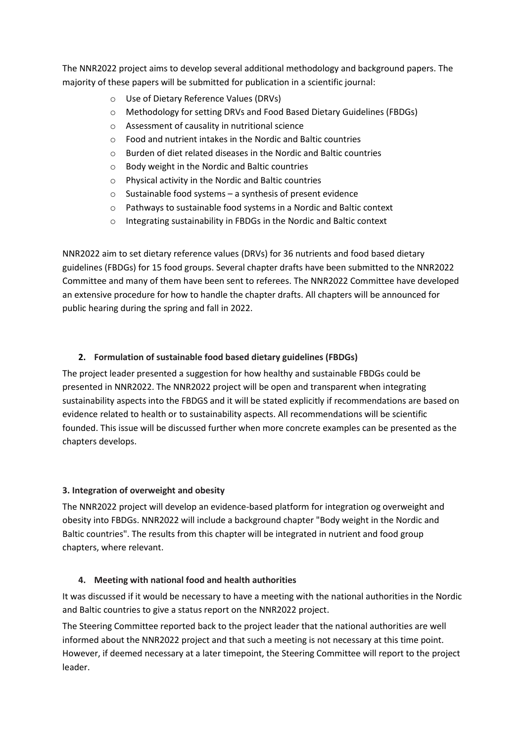The NNR2022 project aims to develop several additional methodology and background papers. The majority of these papers will be submitted for publication in a scientific journal:

- o Use of Dietary Reference Values (DRVs)
- o Methodology for setting DRVs and Food Based Dietary Guidelines (FBDGs)
- o Assessment of causality in nutritional science
- o Food and nutrient intakes in the Nordic and Baltic countries
- o Burden of diet related diseases in the Nordic and Baltic countries
- o Body weight in the Nordic and Baltic countries
- o Physical activity in the Nordic and Baltic countries
- o Sustainable food systems a synthesis of present evidence
- o Pathways to sustainable food systems in a Nordic and Baltic context
- o Integrating sustainability in FBDGs in the Nordic and Baltic context

NNR2022 aim to set dietary reference values (DRVs) for 36 nutrients and food based dietary guidelines (FBDGs) for 15 food groups. Several chapter drafts have been submitted to the NNR2022 Committee and many of them have been sent to referees. The NNR2022 Committee have developed an extensive procedure for how to handle the chapter drafts. All chapters will be announced for public hearing during the spring and fall in 2022.

# **2. Formulation of sustainable food based dietary guidelines (FBDGs)**

The project leader presented a suggestion for how healthy and sustainable FBDGs could be presented in NNR2022. The NNR2022 project will be open and transparent when integrating sustainability aspects into the FBDGS and it will be stated explicitly if recommendations are based on evidence related to health or to sustainability aspects. All recommendations will be scientific founded. This issue will be discussed further when more concrete examples can be presented as the chapters develops.

# **3. Integration of overweight and obesity**

The NNR2022 project will develop an evidence-based platform for integration og overweight and obesity into FBDGs. NNR2022 will include a background chapter "Body weight in the Nordic and Baltic countries". The results from this chapter will be integrated in nutrient and food group chapters, where relevant.

# **4. Meeting with national food and health authorities**

It was discussed if it would be necessary to have a meeting with the national authorities in the Nordic and Baltic countries to give a status report on the NNR2022 project.

The Steering Committee reported back to the project leader that the national authorities are well informed about the NNR2022 project and that such a meeting is not necessary at this time point. However, if deemed necessary at a later timepoint, the Steering Committee will report to the project leader.